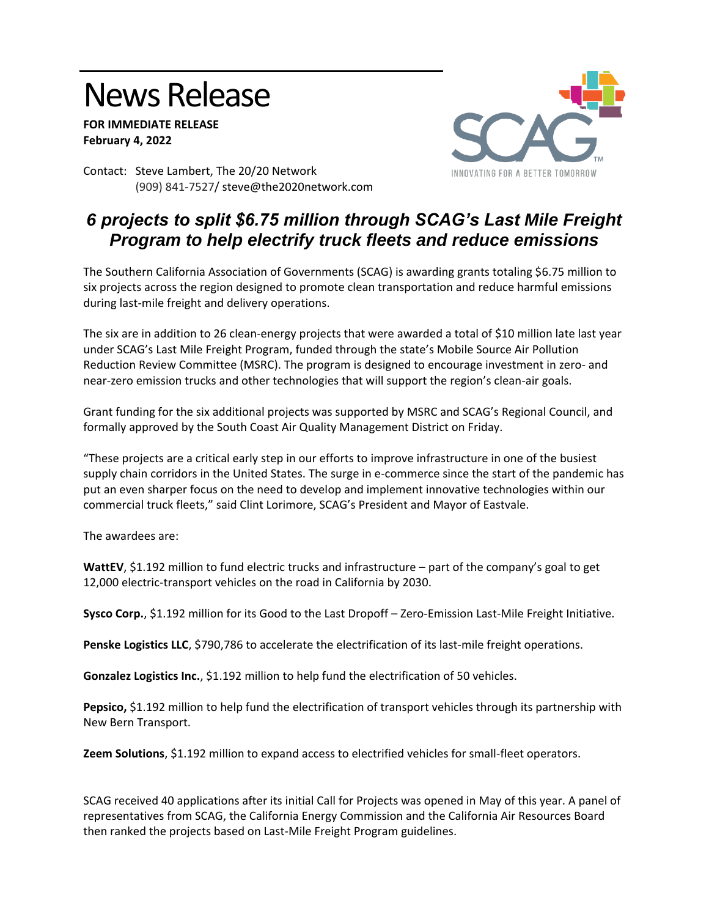## News Release

**FOR IMMEDIATE RELEASE February 4, 2022**



Contact: Steve Lambert, The 20/20 Network (909) 841-7527/ steve@the2020network.com

## *6 projects to split \$6.75 million through SCAG's Last Mile Freight Program to help electrify truck fleets and reduce emissions*

The Southern California Association of Governments (SCAG) is awarding grants totaling \$6.75 million to six projects across the region designed to promote clean transportation and reduce harmful emissions during last-mile freight and delivery operations.

The six are in addition to 26 clean-energy projects that were awarded a total of \$10 million late last year under SCAG's Last Mile Freight Program, funded through the state's Mobile Source Air Pollution Reduction Review Committee (MSRC). The program is designed to encourage investment in zero- and near-zero emission trucks and other technologies that will support the region's clean-air goals.

Grant funding for the six additional projects was supported by MSRC and SCAG's Regional Council, and formally approved by the South Coast Air Quality Management District on Friday.

"These projects are a critical early step in our efforts to improve infrastructure in one of the busiest supply chain corridors in the United States. The surge in e-commerce since the start of the pandemic has put an even sharper focus on the need to develop and implement innovative technologies within our commercial truck fleets," said Clint Lorimore, SCAG's President and Mayor of Eastvale.

The awardees are:

**WattEV**, \$1.192 million to fund electric trucks and infrastructure – part of the company's goal to get 12,000 electric-transport vehicles on the road in California by 2030.

**Sysco Corp.**, \$1.192 million for its Good to the Last Dropoff – Zero-Emission Last-Mile Freight Initiative.

**Penske Logistics LLC**, \$790,786 to accelerate the electrification of its last-mile freight operations.

**Gonzalez Logistics Inc.**, \$1.192 million to help fund the electrification of 50 vehicles.

**Pepsico,** \$1.192 million to help fund the electrification of transport vehicles through its partnership with New Bern Transport.

**Zeem Solutions**, \$1.192 million to expand access to electrified vehicles for small-fleet operators.

SCAG received 40 applications after its initial Call for Projects was opened in May of this year. A panel of representatives from SCAG, the California Energy Commission and the California Air Resources Board then ranked the projects based on Last-Mile Freight Program guidelines.